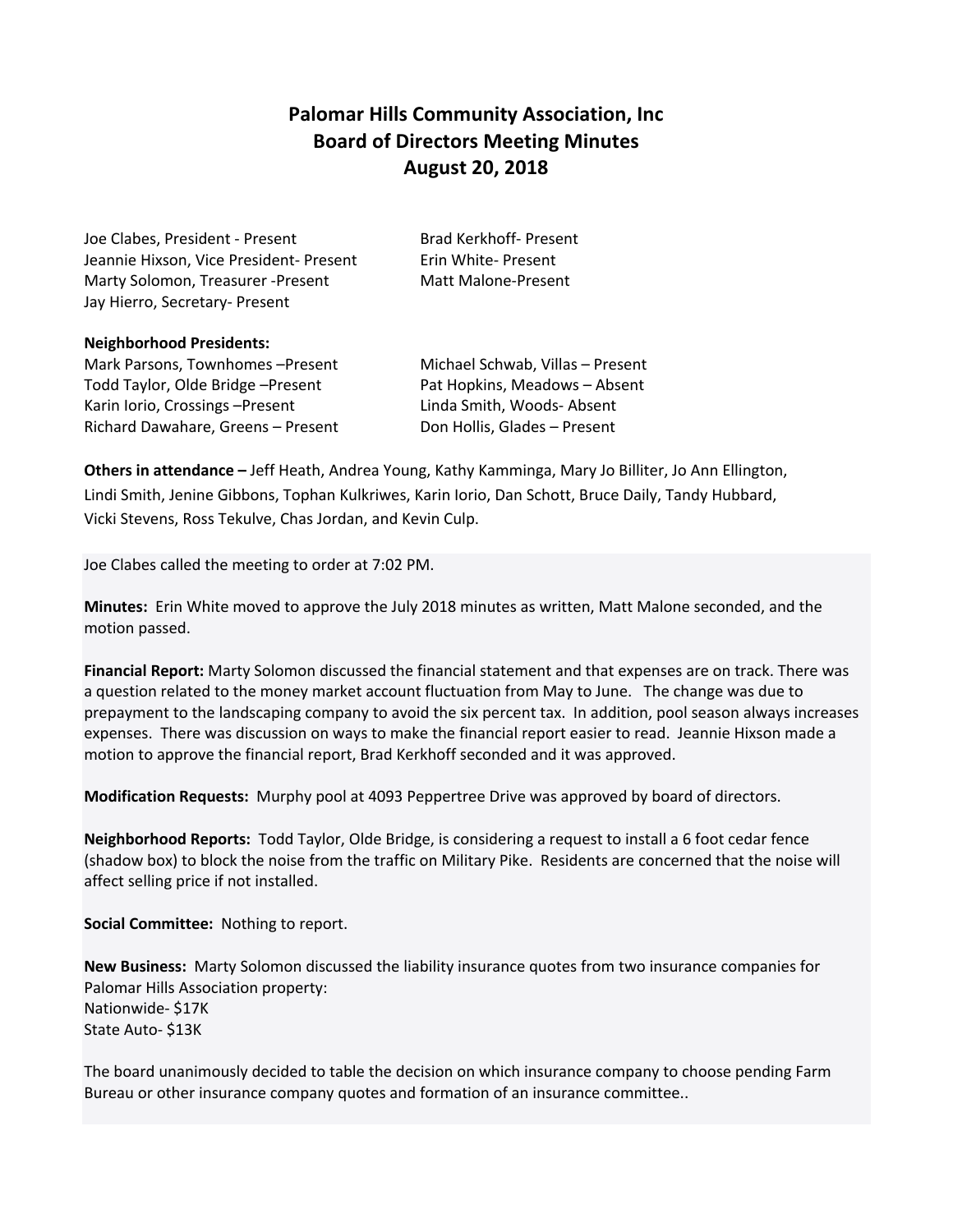## **Palomar Hills Community Association, Inc Board of Directors Meeting Minutes August 20, 2018**

Joe Clabes, President - Present Brad Kerkhoff- Present Jeannie Hixson, Vice President- Present Frin White- Present Marty Solomon, Treasurer -Present Matt Malone-Present Jay Hierro, Secretary- Present

## **Neighborhood Presidents:**

Mark Parsons, Townhomes –Present Michael Schwab, Villas – Present Todd Taylor, Olde Bridge – Present Pat Hopkins, Meadows – Absent Karin Iorio, Crossings – Present Linda Smith, Woods- Absent Richard Dawahare, Greens - Present Don Hollis, Glades - Present

**Others in attendance –** Jeff Heath, Andrea Young, Kathy Kamminga, Mary Jo Billiter, Jo Ann Ellington, Lindi Smith, Jenine Gibbons, Tophan Kulkriwes, Karin Iorio, Dan Schott, Bruce Daily, Tandy Hubbard, Vicki Stevens, Ross Tekulve, Chas Jordan, and Kevin Culp.

Joe Clabes called the meeting to order at 7:02 PM.

**Minutes:** Erin White moved to approve the July 2018 minutes as written, Matt Malone seconded, and the motion passed.

**Financial Report:** Marty Solomon discussed the financial statement and that expenses are on track. There was a question related to the money market account fluctuation from May to June. The change was due to prepayment to the landscaping company to avoid the six percent tax. In addition, pool season always increases expenses. There was discussion on ways to make the financial report easier to read. Jeannie Hixson made a motion to approve the financial report, Brad Kerkhoff seconded and it was approved.

**Modification Requests:** Murphy pool at 4093 Peppertree Drive was approved by board of directors.

**Neighborhood Reports:** Todd Taylor, Olde Bridge, is considering a request to install a 6 foot cedar fence (shadow box) to block the noise from the traffic on Military Pike. Residents are concerned that the noise will affect selling price if not installed.

**Social Committee:** Nothing to report.

**New Business:** Marty Solomon discussed the liability insurance quotes from two insurance companies for Palomar Hills Association property: Nationwide- \$17K State Auto- \$13K

The board unanimously decided to table the decision on which insurance company to choose pending Farm Bureau or other insurance company quotes and formation of an insurance committee..